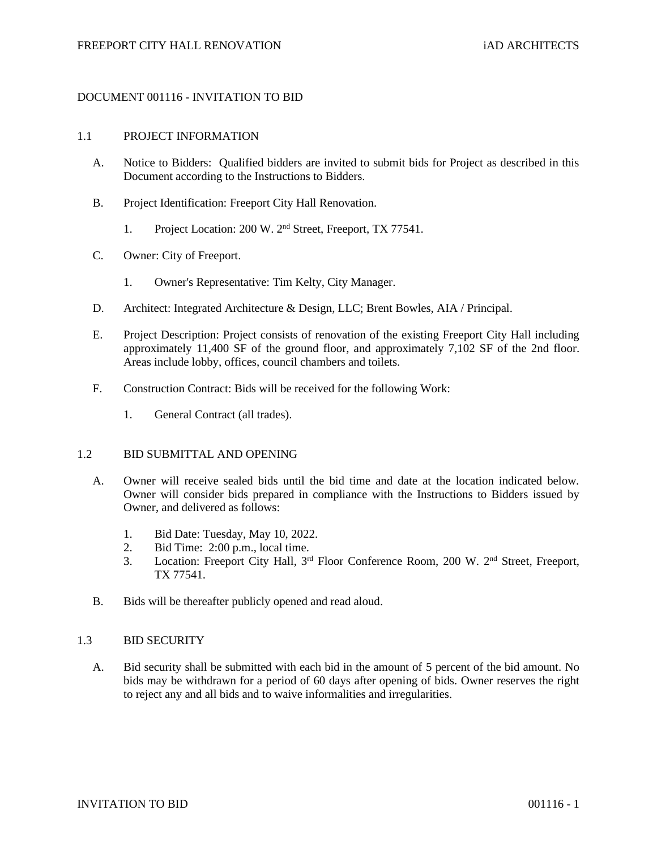## DOCUMENT 001116 - INVITATION TO BID

#### 1.1 PROJECT INFORMATION

- A. Notice to Bidders: Qualified bidders are invited to submit bids for Project as described in this Document according to the Instructions to Bidders.
- B. Project Identification: Freeport City Hall Renovation.
	- 1. Project Location: 200 W. 2<sup>nd</sup> Street, Freeport, TX 77541.
- C. Owner: City of Freeport.
	- 1. Owner's Representative: Tim Kelty, City Manager.
- D. Architect: Integrated Architecture & Design, LLC; Brent Bowles, AIA / Principal.
- E. Project Description: Project consists of renovation of the existing Freeport City Hall including approximately 11,400 SF of the ground floor, and approximately 7,102 SF of the 2nd floor. Areas include lobby, offices, council chambers and toilets.
- F. Construction Contract: Bids will be received for the following Work:
	- 1. General Contract (all trades).

## 1.2 BID SUBMITTAL AND OPENING

- A. Owner will receive sealed bids until the bid time and date at the location indicated below. Owner will consider bids prepared in compliance with the Instructions to Bidders issued by Owner, and delivered as follows:
	- 1. Bid Date: Tuesday, May 10, 2022.
	- 2. Bid Time: 2:00 p.m., local time.
	- 3. Location: Freeport City Hall, 3<sup>rd</sup> Floor Conference Room, 200 W. 2<sup>nd</sup> Street, Freeport, TX 77541.
- B. Bids will be thereafter publicly opened and read aloud.

#### 1.3 BID SECURITY

A. Bid security shall be submitted with each bid in the amount of 5 percent of the bid amount. No bids may be withdrawn for a period of 60 days after opening of bids. Owner reserves the right to reject any and all bids and to waive informalities and irregularities.